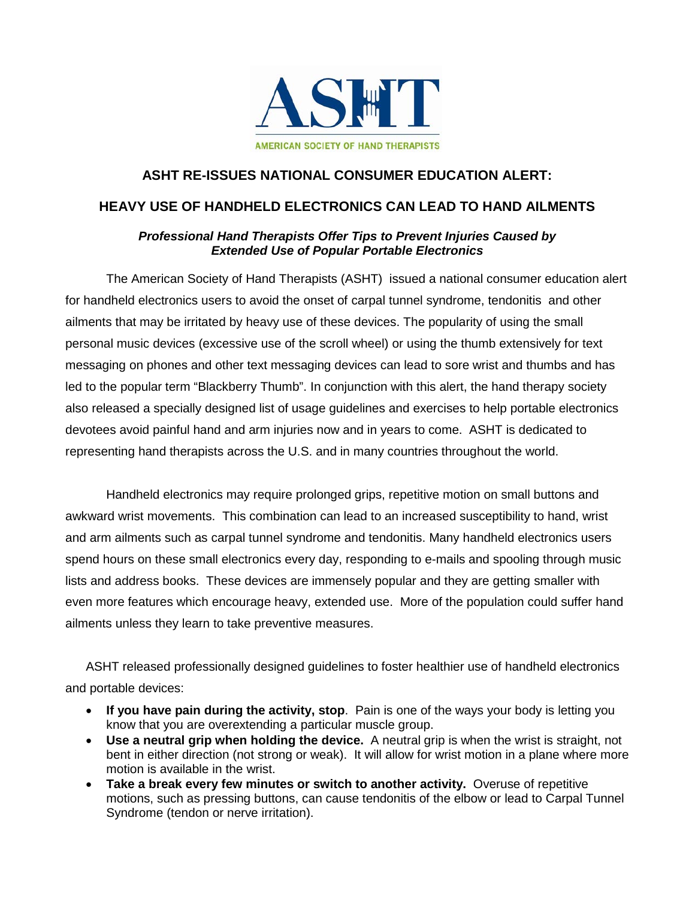

## **ASHT RE-ISSUES NATIONAL CONSUMER EDUCATION ALERT:**

## **HEAVY USE OF HANDHELD ELECTRONICS CAN LEAD TO HAND AILMENTS**

## *Professional Hand Therapists Offer Tips to Prevent Injuries Caused by Extended Use of Popular Portable Electronics*

The American Society of Hand Therapists (ASHT) issued a national consumer education alert for handheld electronics users to avoid the onset of carpal tunnel syndrome, tendonitis and other ailments that may be irritated by heavy use of these devices. The popularity of using the small personal music devices (excessive use of the scroll wheel) or using the thumb extensively for text messaging on phones and other text messaging devices can lead to sore wrist and thumbs and has led to the popular term "Blackberry Thumb". In conjunction with this alert, the hand therapy society also released a specially designed list of usage guidelines and exercises to help portable electronics devotees avoid painful hand and arm injuries now and in years to come. ASHT is dedicated to representing hand therapists across the U.S. and in many countries throughout the world.

Handheld electronics may require prolonged grips, repetitive motion on small buttons and awkward wrist movements. This combination can lead to an increased susceptibility to hand, wrist and arm ailments such as carpal tunnel syndrome and tendonitis. Many handheld electronics users spend hours on these small electronics every day, responding to e-mails and spooling through music lists and address books. These devices are immensely popular and they are getting smaller with even more features which encourage heavy, extended use. More of the population could suffer hand ailments unless they learn to take preventive measures.

ASHT released professionally designed guidelines to foster healthier use of handheld electronics and portable devices:

- **If you have pain during the activity, stop**. Pain is one of the ways your body is letting you know that you are overextending a particular muscle group.
- **Use a neutral grip when holding the device.** A neutral grip is when the wrist is straight, not bent in either direction (not strong or weak). It will allow for wrist motion in a plane where more motion is available in the wrist.
- **Take a break every few minutes or switch to another activity.** Overuse of repetitive motions, such as pressing buttons, can cause tendonitis of the elbow or lead to Carpal Tunnel Syndrome (tendon or nerve irritation).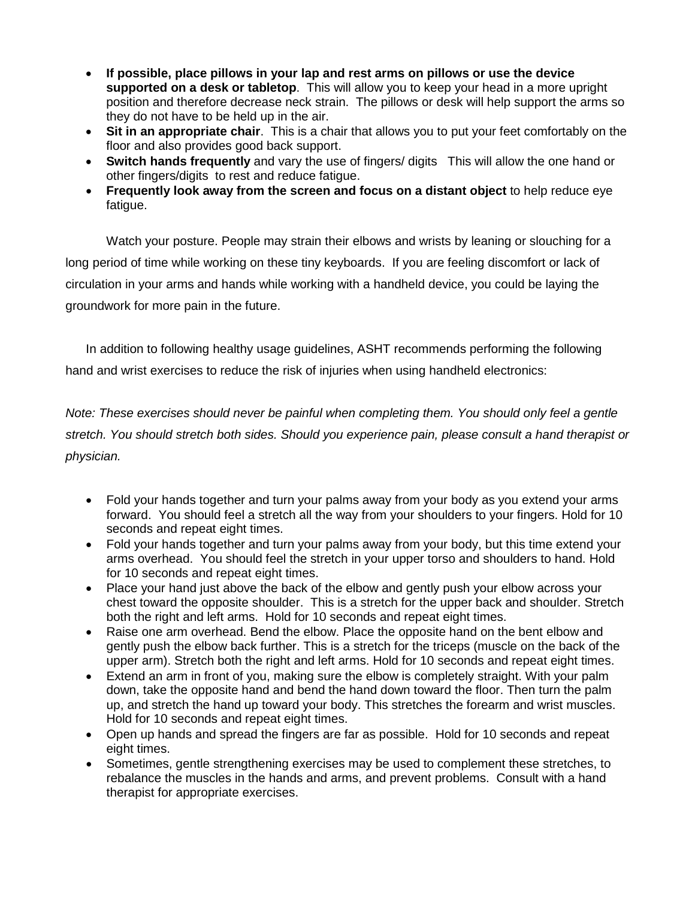- **If possible, place pillows in your lap and rest arms on pillows or use the device supported on a desk or tabletop**. This will allow you to keep your head in a more upright position and therefore decrease neck strain. The pillows or desk will help support the arms so they do not have to be held up in the air.
- **Sit in an appropriate chair**. This is a chair that allows you to put your feet comfortably on the floor and also provides good back support.
- **Switch hands frequently** and vary the use of fingers/ digits This will allow the one hand or other fingers/digits to rest and reduce fatigue.
- **Frequently look away from the screen and focus on a distant object** to help reduce eye fatigue.

Watch your posture. People may strain their elbows and wrists by leaning or slouching for a long period of time while working on these tiny keyboards. If you are feeling discomfort or lack of circulation in your arms and hands while working with a handheld device, you could be laying the groundwork for more pain in the future.

In addition to following healthy usage guidelines, ASHT recommends performing the following hand and wrist exercises to reduce the risk of injuries when using handheld electronics:

*Note: These exercises should never be painful when completing them. You should only feel a gentle stretch. You should stretch both sides. Should you experience pain, please consult a hand therapist or physician.*

- Fold your hands together and turn your palms away from your body as you extend your arms forward. You should feel a stretch all the way from your shoulders to your fingers. Hold for 10 seconds and repeat eight times.
- Fold your hands together and turn your palms away from your body, but this time extend your arms overhead. You should feel the stretch in your upper torso and shoulders to hand. Hold for 10 seconds and repeat eight times.
- Place your hand just above the back of the elbow and gently push your elbow across your chest toward the opposite shoulder. This is a stretch for the upper back and shoulder. Stretch both the right and left arms. Hold for 10 seconds and repeat eight times.
- Raise one arm overhead. Bend the elbow. Place the opposite hand on the bent elbow and gently push the elbow back further. This is a stretch for the triceps (muscle on the back of the upper arm). Stretch both the right and left arms. Hold for 10 seconds and repeat eight times.
- Extend an arm in front of you, making sure the elbow is completely straight. With your palm down, take the opposite hand and bend the hand down toward the floor. Then turn the palm up, and stretch the hand up toward your body. This stretches the forearm and wrist muscles. Hold for 10 seconds and repeat eight times.
- Open up hands and spread the fingers are far as possible. Hold for 10 seconds and repeat eight times.
- Sometimes, gentle strengthening exercises may be used to complement these stretches, to rebalance the muscles in the hands and arms, and prevent problems. Consult with a hand therapist for appropriate exercises.